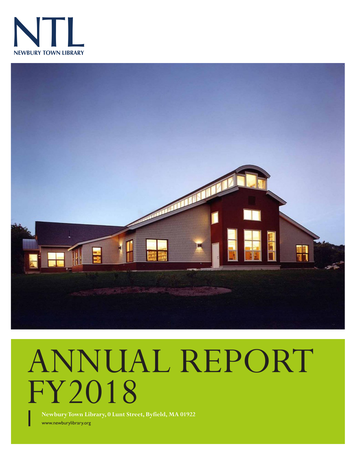



# ANNUAL REPORT FY2018

www.newburylibrary.org **Newbury Town Library, 0 Lunt Street, Byfield, MA 01922**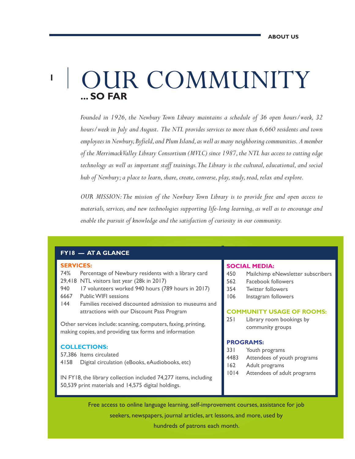## **... SO FAR** OUR COMMUNITY

*Founded in 1926, the Newbury Town Library maintains a schedule of 36 open hours/week, 32 hours/week in July and August. The NTL provides services to more than 6,660 residents and town employees in Newbury, Byfield, and Plum Island, as well as many neighboring communities. A member of the Merrimack Valley Library Consortium (MVLC) since 1987, the NTL has access to cutting edge technology as well as important staff trainings. The Library is the cultural, educational, and social hub of Newbury; a place to learn, share, create, converse, play, study, read, relax and explore.*

*OUR MISSION: The mission of the Newbury Town Library is to provide free and open access to materials, services, and new technologies supporting life-long learning, as well as to encourage and enable the pursuit of knowledge and the satisfaction of curiosity in our community.*

#### **FY18 — AT A GLANCE**

#### **SERVICES:**

**1**

- 74% Percentage of Newbury residents with a library card 29,418 NTL visitors last year (28k in 2017)
- 940 17 volunteers worked 940 hours (789 hours in 2017)
- 6667 Public WIFI sessions
- 144 Families received discounted admission to museums and attractions with our Discount Pass Program

Other services include: scanning, computers, faxing, printing, making copies, and providing tax forms and information

#### **COLLECTIONS:**

57,386 Items circulated

4158 Digital circulation (eBooks, eAudiobooks, etc)

IN FY18, the library collection included 74,277 items, including 50,539 print materials and 14,575 digital holdings.

#### **SOCIAL MEDIA:**

- 450 Mailchimp eNewsletter subscribers
- 562 Facebook followers
- 354 Twitter followers
- 106 Instagram followers

#### **COMMUNITY USAGE OF ROOMS:**

251 Library room bookings by community groups

#### **PROGRAMS:**

- 331 Youth programs
- 4483 Attendees of youth programs
- 162 Adult programs
- 1014 Attendees of adult programs

Free access to online language learning, self-improvement courses, assistance for job seekers, newspapers, journal articles, art lessons, and more, used by

hundreds of patrons each month.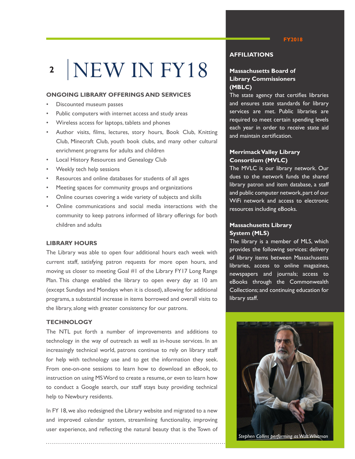### NEW IN FY18 **2**

#### **ONGOING LIBRARY OFFERINGS AND SERVICES**

- Discounted museum passes
- Public computers with internet access and study areas
- Wireless access for laptops, tablets and phones
- Author visits, films, lectures, story hours, Book Club, Knitting Club, Minecraft Club, youth book clubs, and many other cultural enrichment programs for adults and children
- Local History Resources and Genealogy Club
- Weekly tech help sessions
- Resources and online databases for students of all ages
- Meeting spaces for community groups and organizations
- Online courses covering a wide variety of subjects and skills
- Online communications and social media interactions with the community to keep patrons informed of library offerings for both children and adults

#### **LIBRARY HOURS**

The Library was able to open four additional hours each week with current staff, satisfying patron requests for more open hours, and moving us closer to meeting Goal #1 of the Library FY17 Long Range Plan. This change enabled the library to open every day at 10 am (except Sundays and Mondays when it is closed), allowing for additional programs, a substantial increase in items borrowed and overall visits to the library, along with greater consistency for our patrons.

#### **TECHNOLOGY**

The NTL put forth a number of improvements and additions to technology in the way of outreach as well as in-house services. In an increasingly technical world, patrons continue to rely on library staff for help with technology use and to get the information they seek. From one-on-one sessions to learn how to download an eBook, to instruction on using MS Word to create a resume, or even to learn how to conduct a Google search, our staff stays busy providing technical help to Newbury residents.

In FY 18, we also redesigned the Library website and migrated to a new and improved calendar system, streamlining functionality, improving user experience, and reflecting the natural beauty that is the Town of

**AFFILIATIONS**

#### **Massachusetts Board of Library Commissioners (MBLC)**

The state agency that certifies libraries and ensures state standards for library services are met. Public libraries are required to meet certain spending levels each year in order to receive state aid and maintain certification.

#### **Merrimack Valley Library Consortium (MVLC)**

The MVLC is our library network. Our dues to the network funds the shared library patron and item database, a staff and public computer network, part of our WiFi network and access to electronic resources including eBooks.

#### **Massachusetts Library System (MLS)**

The library is a member of MLS, which provides the following services: delivery of library items between Massachusetts libraries, access to online magazines, newspapers and journals; access to eBooks through the Commonwealth Collections; and continuing education for library staff.



#### **FY2018**

 *Stephen Collins performing as Walt Whitman*